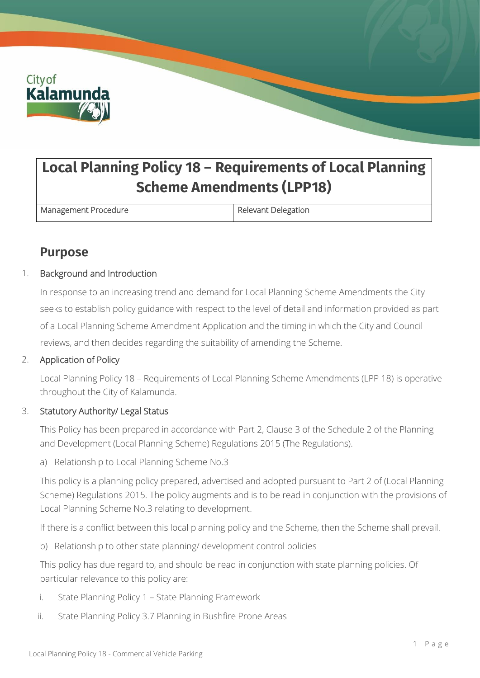

# **Local Planning Policy 18 – Requirements of Local Planning Scheme Amendments (LPP18)**

Management Procedure **Relevant Delegation** 

# **Purpose**

### 1. Background and Introduction

In response to an increasing trend and demand for Local Planning Scheme Amendments the City seeks to establish policy guidance with respect to the level of detail and information provided as part of a Local Planning Scheme Amendment Application and the timing in which the City and Council reviews, and then decides regarding the suitability of amending the Scheme.

### 2. Application of Policy

Local Planning Policy 18 – Requirements of Local Planning Scheme Amendments (LPP 18) is operative throughout the City of Kalamunda.

### 3. Statutory Authority/ Legal Status

This Policy has been prepared in accordance with Part 2, Clause 3 of the Schedule 2 of the Planning and Development (Local Planning Scheme) Regulations 2015 (The Regulations).

a) Relationship to Local Planning Scheme No.3

This policy is a planning policy prepared, advertised and adopted pursuant to Part 2 of (Local Planning Scheme) Regulations 2015. The policy augments and is to be read in conjunction with the provisions of Local Planning Scheme No.3 relating to development.

If there is a conflict between this local planning policy and the Scheme, then the Scheme shall prevail.

b) Relationship to other state planning/ development control policies

This policy has due regard to, and should be read in conjunction with state planning policies. Of particular relevance to this policy are:

- i. State Planning Policy 1 State Planning Framework
- ii. State Planning Policy 3.7 Planning in Bushfire Prone Areas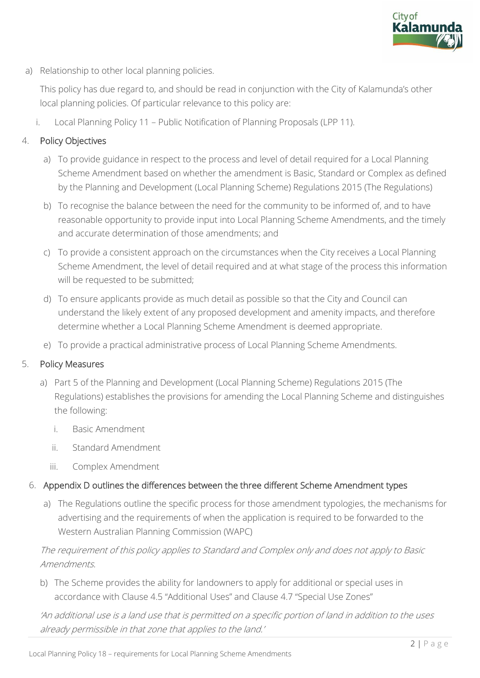

a) Relationship to other local planning policies.

This policy has due regard to, and should be read in conjunction with the City of Kalamunda's other local planning policies. Of particular relevance to this policy are:

i. Local Planning Policy 11 – Public Notification of Planning Proposals (LPP 11).

### 4. Policy Objectives

- a) To provide guidance in respect to the process and level of detail required for a Local Planning Scheme Amendment based on whether the amendment is Basic, Standard or Complex as defined by the Planning and Development (Local Planning Scheme) Regulations 2015 (The Regulations)
- b) To recognise the balance between the need for the community to be informed of, and to have reasonable opportunity to provide input into Local Planning Scheme Amendments, and the timely and accurate determination of those amendments; and
- c) To provide a consistent approach on the circumstances when the City receives a Local Planning Scheme Amendment, the level of detail required and at what stage of the process this information will be requested to be submitted;
- d) To ensure applicants provide as much detail as possible so that the City and Council can understand the likely extent of any proposed development and amenity impacts, and therefore determine whether a Local Planning Scheme Amendment is deemed appropriate.
- e) To provide a practical administrative process of Local Planning Scheme Amendments.

### 5. Policy Measures

- a) Part 5 of the Planning and Development (Local Planning Scheme) Regulations 2015 (The Regulations) establishes the provisions for amending the Local Planning Scheme and distinguishes the following:
	- i. Basic Amendment
	- ii. Standard Amendment
	- iii. Complex Amendment

### 6. Appendix D outlines the differences between the three different Scheme Amendment types

a) The Regulations outline the specific process for those amendment typologies, the mechanisms for advertising and the requirements of when the application is required to be forwarded to the Western Australian Planning Commission (WAPC)

### The requirement of this policy applies to Standard and Complex only and does not apply to Basic Amendments.

b) The Scheme provides the ability for landowners to apply for additional or special uses in accordance with Clause 4.5 "Additional Uses" and Clause 4.7 "Special Use Zones"

'An additional use is a land use that is permitted on a specific portion of land in addition to the uses already permissible in that zone that applies to the land.'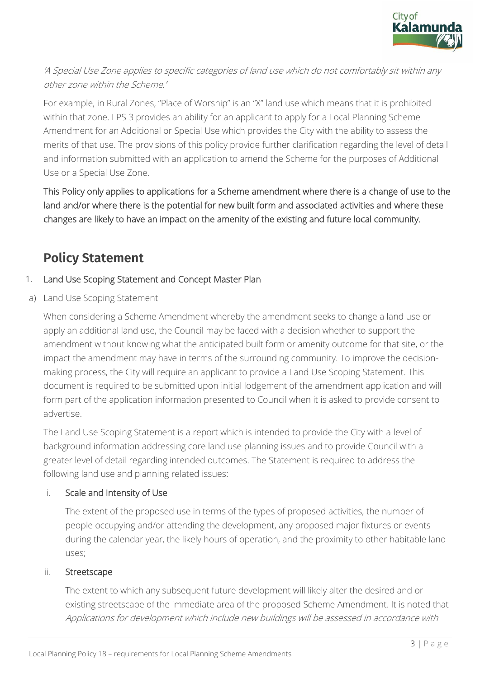

## 'A Special Use Zone applies to specific categories of land use which do not comfortably sit within any other zone within the Scheme.'

For example, in Rural Zones, "Place of Worship" is an "X" land use which means that it is prohibited within that zone. LPS 3 provides an ability for an applicant to apply for a Local Planning Scheme Amendment for an Additional or Special Use which provides the City with the ability to assess the merits of that use. The provisions of this policy provide further clarification regarding the level of detail and information submitted with an application to amend the Scheme for the purposes of Additional Use or a Special Use Zone.

This Policy only applies to applications for a Scheme amendment where there is a change of use to the land and/or where there is the potential for new built form and associated activities and where these changes are likely to have an impact on the amenity of the existing and future local community.

# **Policy Statement**

### 1. Land Use Scoping Statement and Concept Master Plan

a) Land Use Scoping Statement

When considering a Scheme Amendment whereby the amendment seeks to change a land use or apply an additional land use, the Council may be faced with a decision whether to support the amendment without knowing what the anticipated built form or amenity outcome for that site, or the impact the amendment may have in terms of the surrounding community. To improve the decisionmaking process, the City will require an applicant to provide a Land Use Scoping Statement. This document is required to be submitted upon initial lodgement of the amendment application and will form part of the application information presented to Council when it is asked to provide consent to advertise.

The Land Use Scoping Statement is a report which is intended to provide the City with a level of background information addressing core land use planning issues and to provide Council with a greater level of detail regarding intended outcomes. The Statement is required to address the following land use and planning related issues:

### i. Scale and Intensity of Use

The extent of the proposed use in terms of the types of proposed activities, the number of people occupying and/or attending the development, any proposed major fixtures or events during the calendar year, the likely hours of operation, and the proximity to other habitable land uses;

### ii. Streetscape

The extent to which any subsequent future development will likely alter the desired and or existing streetscape of the immediate area of the proposed Scheme Amendment. It is noted that Applications for development which include new buildings will be assessed in accordance with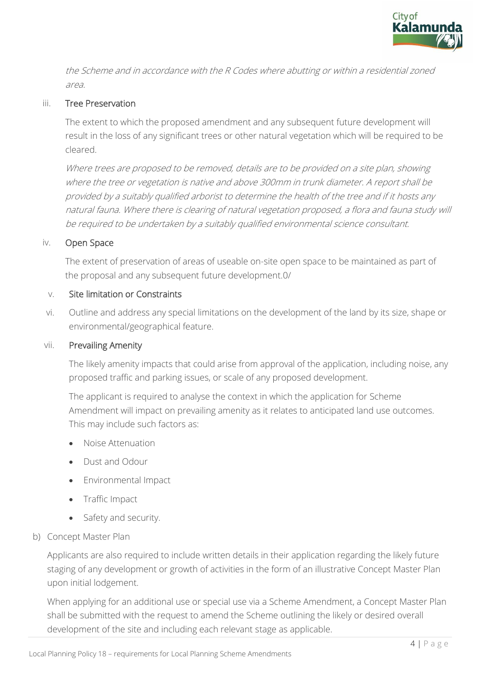

the Scheme and in accordance with the R Codes where abutting or within a residential zoned area.

### iii. Tree Preservation

The extent to which the proposed amendment and any subsequent future development will result in the loss of any significant trees or other natural vegetation which will be required to be cleared.

Where trees are proposed to be removed, details are to be provided on a site plan, showing where the tree or vegetation is native and above 300mm in trunk diameter. A report shall be provided by a suitably qualified arborist to determine the health of the tree and if it hosts any natural fauna. Where there is clearing of natural vegetation proposed, a flora and fauna study will be required to be undertaken by a suitably qualified environmental science consultant.

### iv. Open Space

The extent of preservation of areas of useable on-site open space to be maintained as part of the proposal and any subsequent future development.0/

#### v. Site limitation or Constraints

vi. Outline and address any special limitations on the development of the land by its size, shape or environmental/geographical feature.

#### vii. Prevailing Amenity

The likely amenity impacts that could arise from approval of the application, including noise, any proposed traffic and parking issues, or scale of any proposed development.

The applicant is required to analyse the context in which the application for Scheme Amendment will impact on prevailing amenity as it relates to anticipated land use outcomes. This may include such factors as:

- Noise Attenuation
- Dust and Odour
- Environmental Impact
- Traffic Impact
- Safety and security.
- b) Concept Master Plan

Applicants are also required to include written details in their application regarding the likely future staging of any development or growth of activities in the form of an illustrative Concept Master Plan upon initial lodgement.

When applying for an additional use or special use via a Scheme Amendment, a Concept Master Plan shall be submitted with the request to amend the Scheme outlining the likely or desired overall development of the site and including each relevant stage as applicable.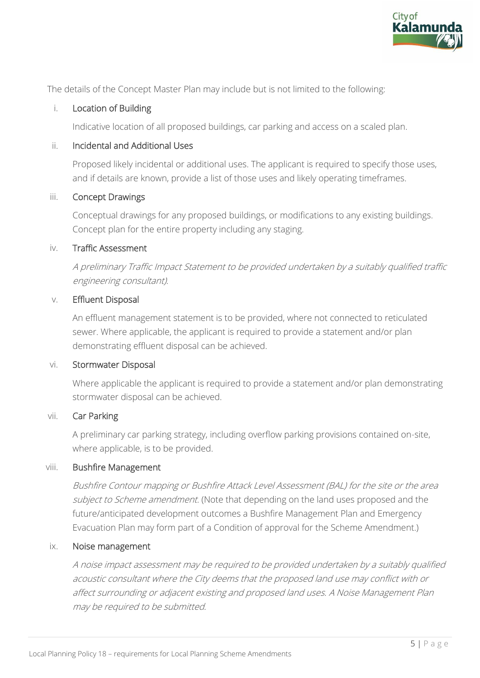

The details of the Concept Master Plan may include but is not limited to the following:

### i. Location of Building

Indicative location of all proposed buildings, car parking and access on a scaled plan.

### ii. Incidental and Additional Uses

Proposed likely incidental or additional uses. The applicant is required to specify those uses, and if details are known, provide a list of those uses and likely operating timeframes.

### iii. Concept Drawings

Conceptual drawings for any proposed buildings, or modifications to any existing buildings. Concept plan for the entire property including any staging.

### iv. Traffic Assessment

A preliminary Traffic Impact Statement to be provided undertaken by a suitably qualified traffic engineering consultant).

### v. Effluent Disposal

An effluent management statement is to be provided, where not connected to reticulated sewer. Where applicable, the applicant is required to provide a statement and/or plan demonstrating effluent disposal can be achieved.

### vi. Stormwater Disposal

Where applicable the applicant is required to provide a statement and/or plan demonstrating stormwater disposal can be achieved.

### vii. Car Parking

A preliminary car parking strategy, including overflow parking provisions contained on-site, where applicable, is to be provided.

### viii. Bushfire Management

Bushfire Contour mapping or Bushfire Attack Level Assessment (BAL) for the site or the area subject to Scheme amendment. (Note that depending on the land uses proposed and the future/anticipated development outcomes a Bushfire Management Plan and Emergency Evacuation Plan may form part of a Condition of approval for the Scheme Amendment.)

### ix. Noise management

A noise impact assessment may be required to be provided undertaken by a suitably qualified acoustic consultant where the City deems that the proposed land use may conflict with or affect surrounding or adjacent existing and proposed land uses. A Noise Management Plan may be required to be submitted.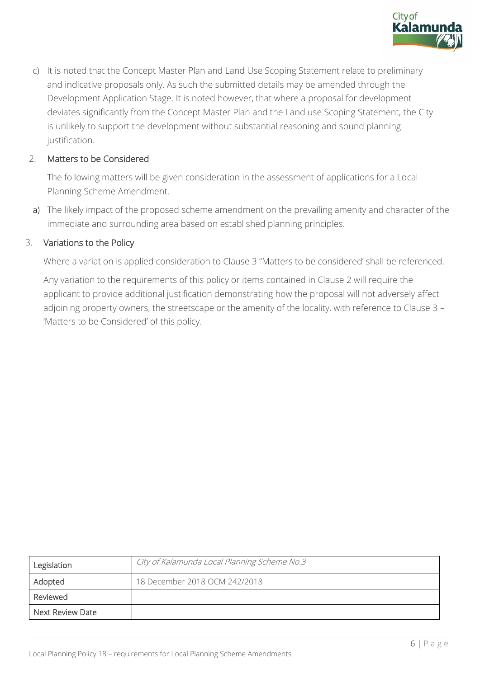

c) It is noted that the Concept Master Plan and Land Use Scoping Statement relate to preliminary and indicative proposals only. As such the submitted details may be amended through the Development Application Stage. It is noted however, that where a proposal for development deviates significantly from the Concept Master Plan and the Land use Scoping Statement, the City is unlikely to support the development without substantial reasoning and sound planning justification.

### 2. Matters to be Considered

The following matters will be given consideration in the assessment of applications for a Local Planning Scheme Amendment.

a) The likely impact of the proposed scheme amendment on the prevailing amenity and character of the immediate and surrounding area based on established planning principles.

### 3. Variations to the Policy

Where a variation is applied consideration to Clause 3 "Matters to be considered' shall be referenced.

Any variation to the requirements of this policy or items contained in Clause 2 will require the applicant to provide additional justification demonstrating how the proposal will not adversely affect adjoining property owners, the streetscape or the amenity of the locality, with reference to Clause 3 – 'Matters to be Considered' of this policy.

| Legislation      | City of Kalamunda Local Planning Scheme No.3 |
|------------------|----------------------------------------------|
| Adopted          | 18 December 2018 OCM 242/2018                |
| Reviewed         |                                              |
| Next Review Date |                                              |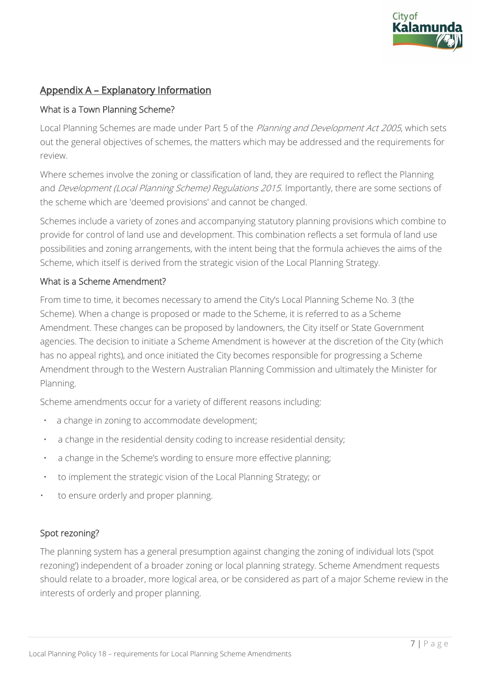

## Appendix A – Explanatory Information

### What is a Town Planning Scheme?

Local Planning Schemes are made under Part 5 of the Planning and Development Act 2005, which sets out the general objectives of schemes, the matters which may be addressed and the requirements for review.

Where schemes involve the zoning or classification of land, they are required to reflect the Planning and *Development (Local Planning Scheme) Regulations 2015*. Importantly, there are some sections of the scheme which are 'deemed provisions' and cannot be changed.

Schemes include a variety of zones and accompanying statutory planning provisions which combine to provide for control of land use and development. This combination reflects a set formula of land use possibilities and zoning arrangements, with the intent being that the formula achieves the aims of the Scheme, which itself is derived from the strategic vision of the Local Planning Strategy.

### What is a Scheme Amendment?

From time to time, it becomes necessary to amend the City's Local Planning Scheme No. 3 (the Scheme). When a change is proposed or made to the Scheme, it is referred to as a Scheme Amendment. These changes can be proposed by landowners, the City itself or State Government agencies. The decision to initiate a Scheme Amendment is however at the discretion of the City (which has no appeal rights), and once initiated the City becomes responsible for progressing a Scheme Amendment through to the Western Australian Planning Commission and ultimately the Minister for Planning.

Scheme amendments occur for a variety of different reasons including:

- a change in zoning to accommodate development;
- a change in the residential density coding to increase residential density;
- a change in the Scheme's wording to ensure more effective planning;
- to implement the strategic vision of the Local Planning Strategy; or
- to ensure orderly and proper planning.

### Spot rezoning?

The planning system has a general presumption against changing the zoning of individual lots ('spot rezoning') independent of a broader zoning or local planning strategy. Scheme Amendment requests should relate to a broader, more logical area, or be considered as part of a major Scheme review in the interests of orderly and proper planning.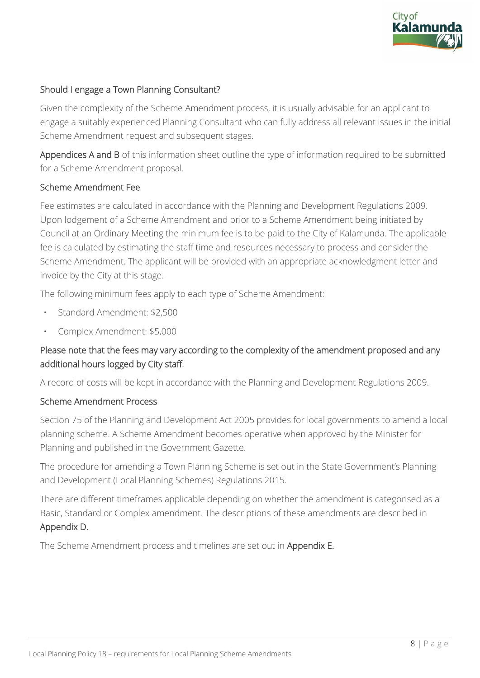

### Should I engage a Town Planning Consultant?

Given the complexity of the Scheme Amendment process, it is usually advisable for an applicant to engage a suitably experienced Planning Consultant who can fully address all relevant issues in the initial Scheme Amendment request and subsequent stages.

Appendices A and B of this information sheet outline the type of information required to be submitted for a Scheme Amendment proposal.

### Scheme Amendment Fee

Fee estimates are calculated in accordance with the Planning and Development Regulations 2009. Upon lodgement of a Scheme Amendment and prior to a Scheme Amendment being initiated by Council at an Ordinary Meeting the minimum fee is to be paid to the City of Kalamunda. The applicable fee is calculated by estimating the staff time and resources necessary to process and consider the Scheme Amendment. The applicant will be provided with an appropriate acknowledgment letter and invoice by the City at this stage.

The following minimum fees apply to each type of Scheme Amendment:

- Standard Amendment: \$2,500
- Complex Amendment: \$5,000

### Please note that the fees may vary according to the complexity of the amendment proposed and any additional hours logged by City staff.

A record of costs will be kept in accordance with the Planning and Development Regulations 2009.

### Scheme Amendment Process

Section 75 of the Planning and Development Act 2005 provides for local governments to amend a local planning scheme. A Scheme Amendment becomes operative when approved by the Minister for Planning and published in the Government Gazette.

The procedure for amending a Town Planning Scheme is set out in the State Government's Planning and Development (Local Planning Schemes) Regulations 2015.

There are different timeframes applicable depending on whether the amendment is categorised as a Basic, Standard or Complex amendment. The descriptions of these amendments are described in Appendix D.

The Scheme Amendment process and timelines are set out in Appendix E.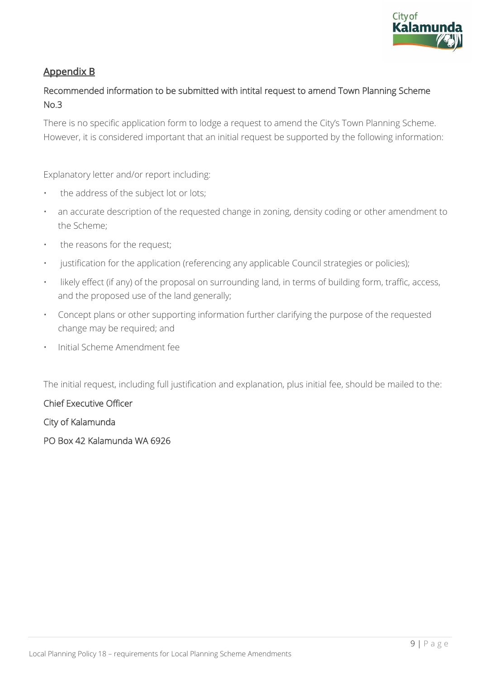

## Appendix B

## Recommended information to be submitted with intital request to amend Town Planning Scheme No.3

There is no specific application form to lodge a request to amend the City's Town Planning Scheme. However, it is considered important that an initial request be supported by the following information:

Explanatory letter and/or report including:

- the address of the subject lot or lots;
- an accurate description of the requested change in zoning, density coding or other amendment to the Scheme;
- the reasons for the request;
- justification for the application (referencing any applicable Council strategies or policies);
- likely effect (if any) of the proposal on surrounding land, in terms of building form, traffic, access, and the proposed use of the land generally;
- Concept plans or other supporting information further clarifying the purpose of the requested change may be required; and
- Initial Scheme Amendment fee

The initial request, including full justification and explanation, plus initial fee, should be mailed to the:

### Chief Executive Officer

City of Kalamunda

PO Box 42 Kalamunda WA 6926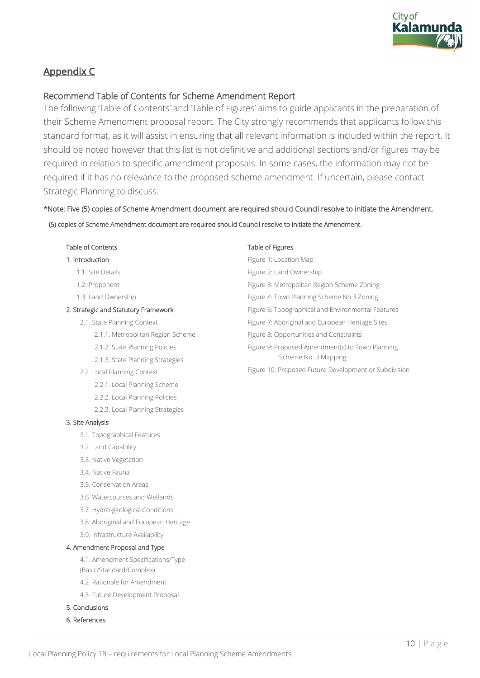

## Appendix C

### Recommend Table of Contents for Scheme Amendment Report

The following 'Table of Contents' and 'Table of Figures' aims to guide applicants in the preparation of their Scheme Amendment proposal report. The City strongly recommends that applicants follow this standard format, as it will assist in ensuring that all relevant information is included within the report. It should be noted however that this list is not definitive and additional sections and/or figures may be required in relation to specific amendment proposals. In some cases, the information may not be required if it has no relevance to the proposed scheme amendment. If uncertain, please contact Strategic Planning to discuss.

### \*Note: Five (5) copies of Scheme Amendment document are required should Council resolve to initiate the Amendment.

(5) copies of Scheme Amendment document are required should Council resolve to initiate the Amendment.

#### Table of Contents

#### 1. Introduction

- 1.1. Site Details
- 1.2. Proponent
- 1.3. Land Ownership

#### 2. Strategic and Statutory Framework

- 2.1. State Planning Context
	- 2.1.1. Metropolitan Region Scheme
	- 2.1.2. State Planning Policies
	- 2.1.3. State Planning Strategies
- 2.2. Local Planning Context
	- 2.2.1. Local Planning Scheme
	- 2.2.2. Local Planning Policies
	- 2.2.3. Local Planning Strategies

#### 3. Site Analysis

- 3.1. Topographical Features
- 3.2. Land Capability
- 3.3. Native Vegetation
- 3.4. Native Fauna
- 3.5. Conservation Areas
- 3.6. Watercourses and Wetlands
- 3.7. Hydro-geological Conditions
- 3.8. Aboriginal and European Heritage
- 3.9. Infrastructure Availability

#### 4. Amendment Proposal and Type

4.1. Amendment Specifications/Type (Basic/Standard/Complex)

- 4.2. Rationale for Amendment
- 4.3. Future Development Proposal
- 5. Conclusions
- 6. References

#### Table of Figures

| Figure 1: Location Map                             |  |  |
|----------------------------------------------------|--|--|
| Figure 2: Land Ownership                           |  |  |
| Figure 3: Metropolitan Region Scheme Zoning        |  |  |
| Figure 4: Town Planning Scheme No.3 Zoning         |  |  |
| Figure 6: Topographical and Environmental Features |  |  |
| Figure 7: Aboriginal and European Heritage Sites   |  |  |
| Figure 8: Opportunities and Constraints            |  |  |
| Figure 9: Proposed Amendment(s) to Town Planning   |  |  |
| Scheme No. 3 Mapping                               |  |  |

Figure 10: Proposed Future Development or Subdivision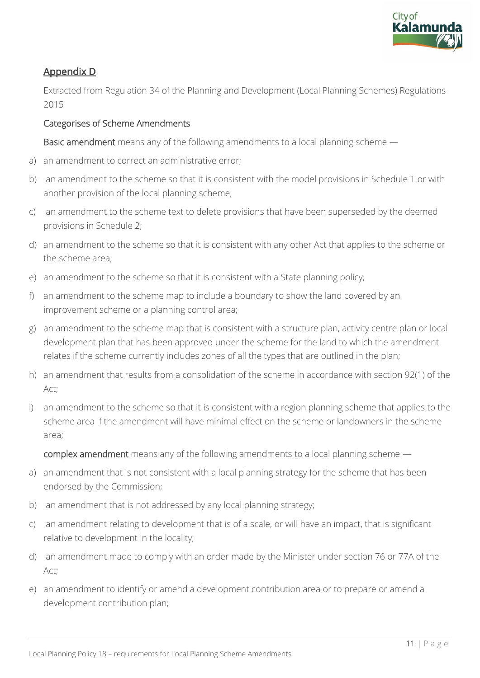

## Appendix D

Extracted from Regulation 34 of the Planning and Development (Local Planning Schemes) Regulations 2015

### Categorises of Scheme Amendments

Basic amendment means any of the following amendments to a local planning scheme —

- a) an amendment to correct an administrative error;
- b) an amendment to the scheme so that it is consistent with the model provisions in Schedule 1 or with another provision of the local planning scheme;
- c) an amendment to the scheme text to delete provisions that have been superseded by the deemed provisions in Schedule 2;
- d) an amendment to the scheme so that it is consistent with any other Act that applies to the scheme or the scheme area;
- e) an amendment to the scheme so that it is consistent with a State planning policy;
- f) an amendment to the scheme map to include a boundary to show the land covered by an improvement scheme or a planning control area;
- g) an amendment to the scheme map that is consistent with a structure plan, activity centre plan or local development plan that has been approved under the scheme for the land to which the amendment relates if the scheme currently includes zones of all the types that are outlined in the plan;
- h) an amendment that results from a consolidation of the scheme in accordance with section 92(1) of the Act;
- i) an amendment to the scheme so that it is consistent with a region planning scheme that applies to the scheme area if the amendment will have minimal effect on the scheme or landowners in the scheme area;

complex amendment means any of the following amendments to a local planning scheme —

- a) an amendment that is not consistent with a local planning strategy for the scheme that has been endorsed by the Commission;
- b) an amendment that is not addressed by any local planning strategy;
- c) an amendment relating to development that is of a scale, or will have an impact, that is significant relative to development in the locality;
- d) an amendment made to comply with an order made by the Minister under section 76 or 77A of the Act;
- e) an amendment to identify or amend a development contribution area or to prepare or amend a development contribution plan;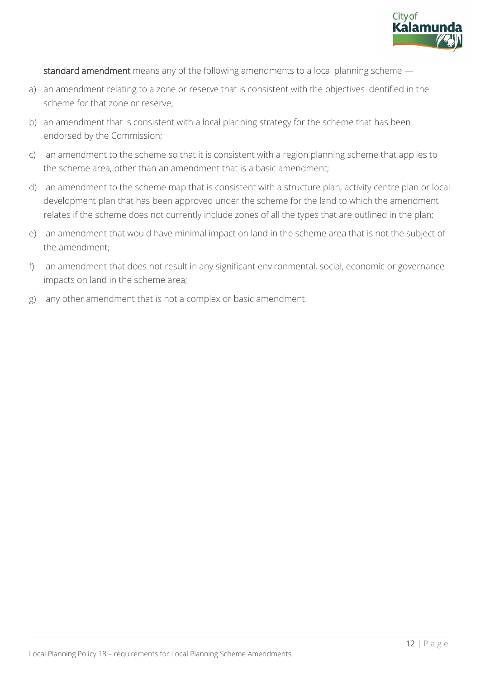

standard amendment means any of the following amendments to a local planning scheme —

- a) an amendment relating to a zone or reserve that is consistent with the objectives identified in the scheme for that zone or reserve;
- b) an amendment that is consistent with a local planning strategy for the scheme that has been endorsed by the Commission;
- c) an amendment to the scheme so that it is consistent with a region planning scheme that applies to the scheme area, other than an amendment that is a basic amendment;
- d) an amendment to the scheme map that is consistent with a structure plan, activity centre plan or local development plan that has been approved under the scheme for the land to which the amendment relates if the scheme does not currently include zones of all the types that are outlined in the plan;
- e) an amendment that would have minimal impact on land in the scheme area that is not the subject of the amendment;
- f) an amendment that does not result in any significant environmental, social, economic or governance impacts on land in the scheme area;
- g) any other amendment that is not a complex or basic amendment.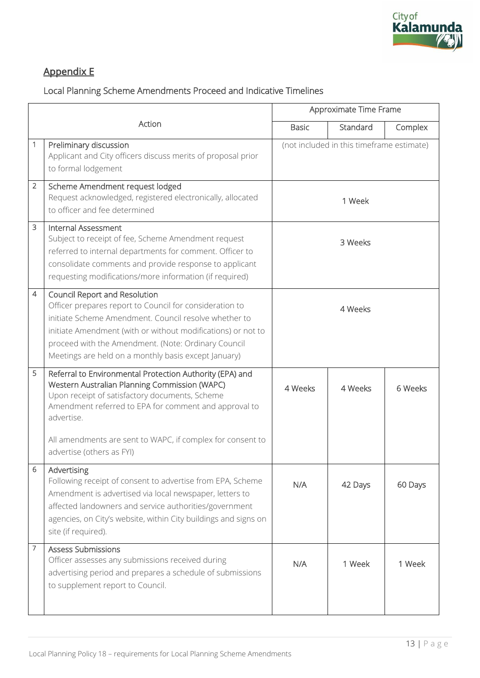

# Appendix E

# Local Planning Scheme Amendments Proceed and Indicative Timelines

|                |                                                                                                                                                                                                                                                                                                                                  | Approximate Time Frame |                                           |         |
|----------------|----------------------------------------------------------------------------------------------------------------------------------------------------------------------------------------------------------------------------------------------------------------------------------------------------------------------------------|------------------------|-------------------------------------------|---------|
|                | Action                                                                                                                                                                                                                                                                                                                           | <b>Basic</b>           | Standard                                  | Complex |
| 1              | Preliminary discussion<br>Applicant and City officers discuss merits of proposal prior<br>to formal lodgement                                                                                                                                                                                                                    |                        | (not included in this timeframe estimate) |         |
| 2              | Scheme Amendment request lodged<br>Request acknowledged, registered electronically, allocated<br>1 Week<br>to officer and fee determined                                                                                                                                                                                         |                        |                                           |         |
| 3              | <b>Internal Assessment</b><br>Subject to receipt of fee, Scheme Amendment request<br>referred to internal departments for comment. Officer to<br>consolidate comments and provide response to applicant<br>requesting modifications/more information (if required)                                                               | 3 Weeks                |                                           |         |
| $\overline{4}$ | Council Report and Resolution<br>Officer prepares report to Council for consideration to<br>initiate Scheme Amendment. Council resolve whether to<br>initiate Amendment (with or without modifications) or not to<br>proceed with the Amendment. (Note: Ordinary Council<br>Meetings are held on a monthly basis except January) | 4 Weeks                |                                           |         |
| 5              | Referral to Environmental Protection Authority (EPA) and<br>Western Australian Planning Commission (WAPC)<br>Upon receipt of satisfactory documents, Scheme<br>Amendment referred to EPA for comment and approval to<br>advertise.<br>All amendments are sent to WAPC, if complex for consent to<br>advertise (others as FYI)    | 4 Weeks                | 4 Weeks                                   | 6 Weeks |
| 6              | Advertising<br>Following receipt of consent to advertise from EPA, Scheme<br>Amendment is advertised via local newspaper, letters to<br>affected landowners and service authorities/government<br>agencies, on City's website, within City buildings and signs on<br>site (if required).                                         | N/A                    | 42 Days                                   | 60 Days |
| 7              | <b>Assess Submissions</b><br>Officer assesses any submissions received during<br>advertising period and prepares a schedule of submissions<br>to supplement report to Council.                                                                                                                                                   | N/A                    | 1 Week                                    | 1 Week  |